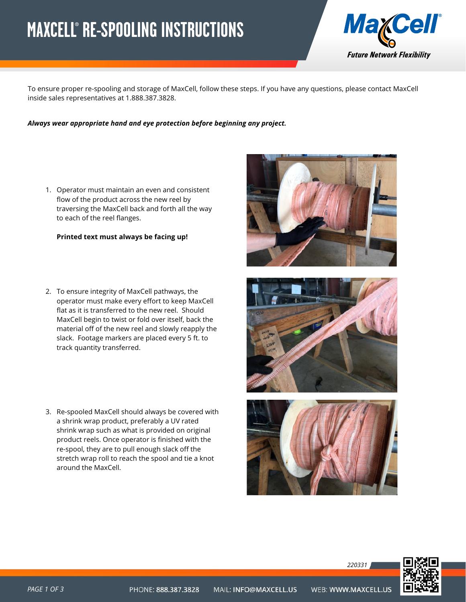## <span id="page-0-0"></span>**MAXCELL® RE-SPOOLING INSTRUCTIONS**



To ensure proper re-spooling and storage of MaxCell, follow these steps. If you have any questions, please contact MaxCell inside sales representatives at 1.888.387.3828.

*Always wear appropriate hand and eye protection before beginning any project.*

1. Operator must maintain an even and consistent flow of the product across the new reel by traversing the MaxCell back and forth all the way to each of the reel flanges.

## **Printed text must always be facing up!**

- 2. To ensure integrity of MaxCell pathways, the operator must make every effort to keep MaxCell flat as it is transferred to the new reel. Should MaxCell begin to twist or fold over itself, back the material off of the new reel and slowly reapply the slack. Footage markers are placed every 5 ft. to track quantity transferred.
- 3. Re-spooled MaxCell should always be covered with a shrink wrap product, preferably a UV rated shrink wrap such as what is provided on original product reels. Once operator is finished with the re-spool, they are to pull enough slack off the stretch wrap roll to reach the spool and tie a knot around the MaxCell.







*220331*

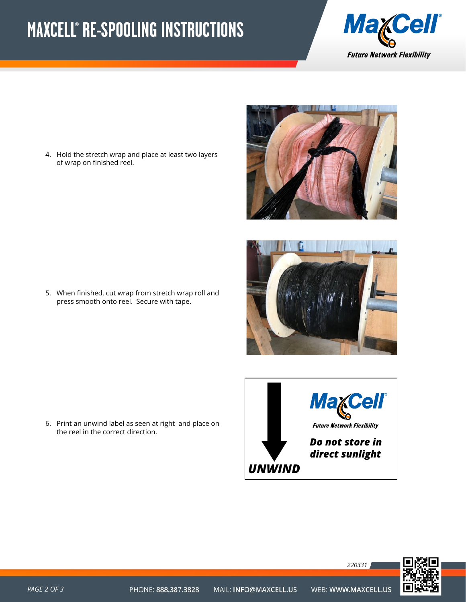## **MAXCELL® RE-SPOOLING INSTRUCTIONS**



4. Hold the stretch wrap and place at least two layers of wrap on finished reel.





5. When finished, cut wrap from stretch wrap roll and press smooth onto reel. Secure with tape.

6. Print an unwind label as seen at right and place on the reel in the correct direction.





*220331*